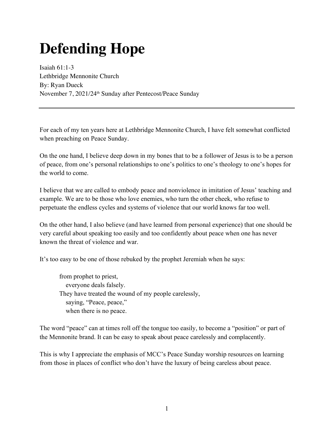## **Defending Hope**

Isaiah 61:1-3 Lethbridge Mennonite Church By: Ryan Dueck November 7, 2021/24th Sunday after Pentecost/Peace Sunday

For each of my ten years here at Lethbridge Mennonite Church, I have felt somewhat conflicted when preaching on Peace Sunday.

On the one hand, I believe deep down in my bones that to be a follower of Jesus is to be a person of peace, from one's personal relationships to one's politics to one's theology to one's hopes for the world to come.

I believe that we are called to embody peace and nonviolence in imitation of Jesus' teaching and example. We are to be those who love enemies, who turn the other cheek, who refuse to perpetuate the endless cycles and systems of violence that our world knows far too well.

On the other hand, I also believe (and have learned from personal experience) that one should be very careful about speaking too easily and too confidently about peace when one has never known the threat of violence and war.

It's too easy to be one of those rebuked by the prophet Jeremiah when he says:

from prophet to priest, everyone deals falsely. They have treated the wound of my people carelessly, saying, "Peace, peace," when there is no peace.

The word "peace" can at times roll off the tongue too easily, to become a "position" or part of the Mennonite brand. It can be easy to speak about peace carelessly and complacently.

This is why I appreciate the emphasis of MCC's Peace Sunday worship resources on learning from those in places of conflict who don't have the luxury of being careless about peace.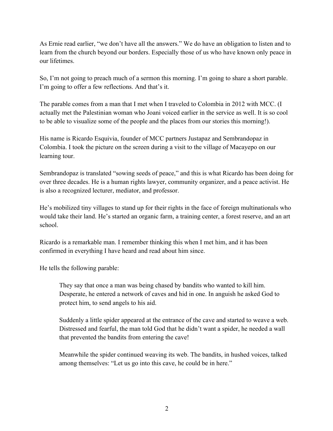As Ernie read earlier, "we don't have all the answers." We do have an obligation to listen and to learn from the church beyond our borders. Especially those of us who have known only peace in our lifetimes.

So, I'm not going to preach much of a sermon this morning. I'm going to share a short parable. I'm going to offer a few reflections. And that's it.

The parable comes from a man that I met when I traveled to Colombia in 2012 with MCC. (I actually met the Palestinian woman who Joani voiced earlier in the service as well. It is so cool to be able to visualize some of the people and the places from our stories this morning!).

His name is Ricardo Esquivia, founder of MCC partners Justapaz and Sembrandopaz in Colombia. I took the picture on the screen during a visit to the village of Macayepo on our learning tour.

Sembrandopaz is translated "sowing seeds of peace," and this is what Ricardo has been doing for over three decades. He is a human rights lawyer, community organizer, and a peace activist. He is also a recognized lecturer, mediator, and professor.

He's mobilized tiny villages to stand up for their rights in the face of foreign multinationals who would take their land. He's started an organic farm, a training center, a forest reserve, and an art school.

Ricardo is a remarkable man. I remember thinking this when I met him, and it has been confirmed in everything I have heard and read about him since.

He tells the following parable:

They say that once a man was being chased by bandits who wanted to kill him. Desperate, he entered a network of caves and hid in one. In anguish he asked God to protect him, to send angels to his aid.

Suddenly a little spider appeared at the entrance of the cave and started to weave a web. Distressed and fearful, the man told God that he didn't want a spider, he needed a wall that prevented the bandits from entering the cave!

Meanwhile the spider continued weaving its web. The bandits, in hushed voices, talked among themselves: "Let us go into this cave, he could be in here."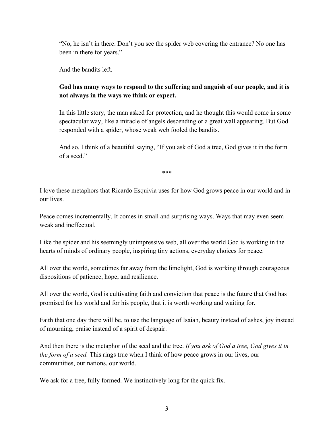"No, he isn't in there. Don't you see the spider web covering the entrance? No one has been in there for years."

And the bandits left.

## **God has many ways to respond to the suffering and anguish of our people, and it is not always in the ways we think or expect.**

In this little story, the man asked for protection, and he thought this would come in some spectacular way, like a miracle of angels descending or a great wall appearing. But God responded with a spider, whose weak web fooled the bandits.

And so, I think of a beautiful saying, "If you ask of God a tree, God gives it in the form of a seed."

\*\*\*

I love these metaphors that Ricardo Esquivia uses for how God grows peace in our world and in our lives.

Peace comes incrementally. It comes in small and surprising ways. Ways that may even seem weak and ineffectual.

Like the spider and his seemingly unimpressive web, all over the world God is working in the hearts of minds of ordinary people, inspiring tiny actions, everyday choices for peace.

All over the world, sometimes far away from the limelight, God is working through courageous dispositions of patience, hope, and resilience.

All over the world, God is cultivating faith and conviction that peace is the future that God has promised for his world and for his people, that it is worth working and waiting for.

Faith that one day there will be, to use the language of Isaiah, beauty instead of ashes, joy instead of mourning, praise instead of a spirit of despair.

And then there is the metaphor of the seed and the tree. *If you ask of God a tree, God gives it in the form of a seed.* This rings true when I think of how peace grows in our lives, our communities, our nations, our world.

We ask for a tree, fully formed. We instinctively long for the quick fix.